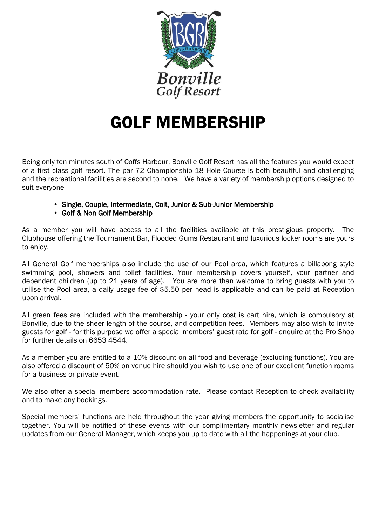

# GOLF MEMBERSHIP

Being only ten minutes south of Coffs Harbour, Bonville Golf Resort has all the features you would expect of a first class golf resort. The par 72 Championship 18 Hole Course is both beautiful and challenging and the recreational facilities are second to none. We have a variety of membership options designed to suit everyone

- Single, Couple, Intermediate, Colt, Junior & Sub-Junior Membership
- Golf & Non Golf Membership

As a member you will have access to all the facilities available at this prestigious property. The Clubhouse offering the Tournament Bar, Flooded Gums Restaurant and luxurious locker rooms are yours to enjoy.

All General Golf memberships also include the use of our Pool area, which features a billabong style swimming pool, showers and toilet facilities. Your membership covers yourself, your partner and dependent children (up to 21 years of age). You are more than welcome to bring guests with you to utilise the Pool area, a daily usage fee of \$5.50 per head is applicable and can be paid at Reception upon arrival.

All green fees are included with the membership - your only cost is cart hire, which is compulsory at Bonville, due to the sheer length of the course, and competition fees. Members may also wish to invite guests for golf - for this purpose we offer a special members' guest rate for golf - enquire at the Pro Shop for further details on 6653 4544.

As a member you are entitled to a 10% discount on all food and beverage (excluding functions). You are also offered a discount of 50% on venue hire should you wish to use one of our excellent function rooms for a business or private event.

We also offer a special members accommodation rate. Please contact Reception to check availability and to make any bookings.

Special members' functions are held throughout the year giving members the opportunity to socialise together. You will be notified of these events with our complimentary monthly newsletter and regular updates from our General Manager, which keeps you up to date with all the happenings at your club.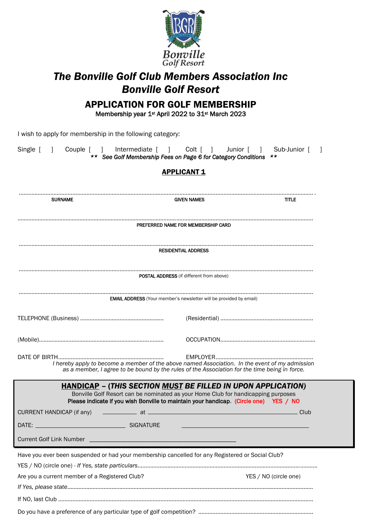

## *The Bonville Golf Club Members Association Inc Bonville Golf Resort*

## APPLICATION FOR GOLF MEMBERSHIP

Membership year 1<sup>st</sup> April 2022 to 31<sup>st</sup> March 2023

I wish to apply for membership in the following category:

| Single [<br>$\Box$                             | Couple [ ] Intermediate [ ] Colt [ ]<br>** See Golf Membership Fees on Page 6 for Category Conditions **                                                                                                                                                 |                                                 | Sub-Junior [<br>Junior [ ] |  |  |  |  |  |  |  |
|------------------------------------------------|----------------------------------------------------------------------------------------------------------------------------------------------------------------------------------------------------------------------------------------------------------|-------------------------------------------------|----------------------------|--|--|--|--|--|--|--|
| <b>APPLICANT 1</b>                             |                                                                                                                                                                                                                                                          |                                                 |                            |  |  |  |  |  |  |  |
| <b>SURNAME</b>                                 |                                                                                                                                                                                                                                                          | <b>GIVEN NAMES</b>                              | <b>TITLE</b>               |  |  |  |  |  |  |  |
|                                                |                                                                                                                                                                                                                                                          | PREFERRED NAME FOR MEMBERSHIP CARD              |                            |  |  |  |  |  |  |  |
|                                                |                                                                                                                                                                                                                                                          | <b>RESIDENTIAL ADDRESS</b>                      |                            |  |  |  |  |  |  |  |
|                                                |                                                                                                                                                                                                                                                          | <b>POSTAL ADDRESS</b> (if different from above) |                            |  |  |  |  |  |  |  |
|                                                | <b>EMAIL ADDRESS</b> (Your member's newsletter will be provided by email)                                                                                                                                                                                |                                                 |                            |  |  |  |  |  |  |  |
|                                                |                                                                                                                                                                                                                                                          |                                                 |                            |  |  |  |  |  |  |  |
|                                                |                                                                                                                                                                                                                                                          |                                                 |                            |  |  |  |  |  |  |  |
|                                                | I hereby apply to become a member of the above named Association. In the event of my admission<br>as a member, I agree to be bound by the rules of the Association for the time being in force.                                                          |                                                 |                            |  |  |  |  |  |  |  |
|                                                | <u>HANDICAP</u> – (THIS SECTION <u>MUST</u> BE FILLED IN UPON APPLICATION)<br>Bonville Golf Resort can be nominated as your Home Club for handicapping purposes<br>Please indicate if you wish Bonville to maintain your handicap. (Circle one) YES / NO |                                                 |                            |  |  |  |  |  |  |  |
| CURRENT HANDICAP (if any)                      | _________________ at _                                                                                                                                                                                                                                   |                                                 | Club                       |  |  |  |  |  |  |  |
| DATE:                                          | <b>SIGNATURE</b>                                                                                                                                                                                                                                         |                                                 |                            |  |  |  |  |  |  |  |
|                                                |                                                                                                                                                                                                                                                          |                                                 |                            |  |  |  |  |  |  |  |
|                                                | Have you ever been suspended or had your membership cancelled for any Registered or Social Club?                                                                                                                                                         |                                                 |                            |  |  |  |  |  |  |  |
| Are you a current member of a Registered Club? |                                                                                                                                                                                                                                                          | YES / NO (circle one)                           |                            |  |  |  |  |  |  |  |
|                                                |                                                                                                                                                                                                                                                          |                                                 |                            |  |  |  |  |  |  |  |
|                                                |                                                                                                                                                                                                                                                          |                                                 |                            |  |  |  |  |  |  |  |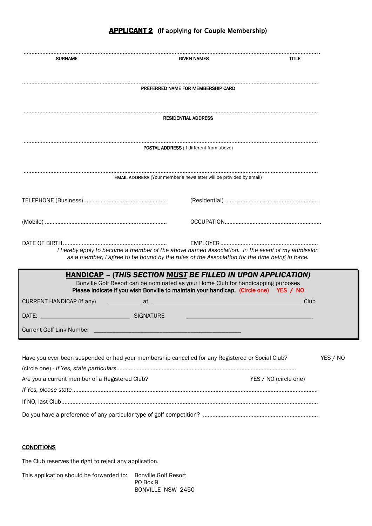### **APPLICANT 2** (If applying for Couple Membership)

| <b>SURNAME</b>                                                                                   |                                                                                                                                                                                                                                                                                                                                                                                                                                  | <b>GIVEN NAMES</b><br><b>TITLE</b> |                       |          |  |  |
|--------------------------------------------------------------------------------------------------|----------------------------------------------------------------------------------------------------------------------------------------------------------------------------------------------------------------------------------------------------------------------------------------------------------------------------------------------------------------------------------------------------------------------------------|------------------------------------|-----------------------|----------|--|--|
|                                                                                                  | PREFERRED NAME FOR MEMBERSHIP CARD                                                                                                                                                                                                                                                                                                                                                                                               |                                    |                       |          |  |  |
|                                                                                                  |                                                                                                                                                                                                                                                                                                                                                                                                                                  |                                    |                       |          |  |  |
|                                                                                                  | <b>RESIDENTIAL ADDRESS</b>                                                                                                                                                                                                                                                                                                                                                                                                       |                                    |                       |          |  |  |
|                                                                                                  | <b>POSTAL ADDRESS</b> (If different from above)                                                                                                                                                                                                                                                                                                                                                                                  |                                    |                       |          |  |  |
|                                                                                                  | <b>EMAIL ADDRESS</b> (Your member's newsletter will be provided by email)                                                                                                                                                                                                                                                                                                                                                        |                                    |                       |          |  |  |
|                                                                                                  |                                                                                                                                                                                                                                                                                                                                                                                                                                  |                                    |                       |          |  |  |
|                                                                                                  |                                                                                                                                                                                                                                                                                                                                                                                                                                  |                                    |                       |          |  |  |
|                                                                                                  | I hereby apply to become a member of the above named Association. In the event of my admission<br>as a member, I agree to be bound by the rules of the Association for the time being in force.                                                                                                                                                                                                                                  |                                    |                       |          |  |  |
|                                                                                                  | <b>HANDICAP - (THIS SECTION MUST BE FILLED IN UPON APPLICATION)</b><br>Bonville Golf Resort can be nominated as your Home Club for handicapping purposes<br>Please indicate if you wish Bonville to maintain your handicap. (Circle one) YES / NO                                                                                                                                                                                |                                    |                       |          |  |  |
| CURRENT HANDICAP (if any)                                                                        | $\overline{\phantom{a}}$ at $\overline{\phantom{a}}$ at $\overline{\phantom{a}}$ at $\overline{\phantom{a}}$ at $\overline{\phantom{a}}$ at $\overline{\phantom{a}}$ at $\overline{\phantom{a}}$ at $\overline{\phantom{a}}$ at $\overline{\phantom{a}}$ at $\overline{\phantom{a}}$ at $\overline{\phantom{a}}$ at $\overline{\phantom{a}}$ at $\overline{\phantom{a}}$ at $\overline{\phantom{a}}$ at $\overline{\phantom{a}}$ |                                    | . Club                |          |  |  |
| DATE: SIGNATURE                                                                                  |                                                                                                                                                                                                                                                                                                                                                                                                                                  |                                    |                       |          |  |  |
| <b>Current Golf Link Number</b>                                                                  |                                                                                                                                                                                                                                                                                                                                                                                                                                  |                                    |                       |          |  |  |
| Have you ever been suspended or had your membership cancelled for any Registered or Social Club? |                                                                                                                                                                                                                                                                                                                                                                                                                                  |                                    |                       | YES / NO |  |  |
|                                                                                                  |                                                                                                                                                                                                                                                                                                                                                                                                                                  |                                    | YES / NO (circle one) |          |  |  |
| Are you a current member of a Registered Club?                                                   |                                                                                                                                                                                                                                                                                                                                                                                                                                  |                                    |                       |          |  |  |
|                                                                                                  |                                                                                                                                                                                                                                                                                                                                                                                                                                  |                                    |                       |          |  |  |

Do you have a preference of any particular type of golf competition? .........................................................................

#### **CONDITIONS**

The Club reserves the right to reject any application.

This application should be forwarded to: Bonville Golf Resort PO Box 9 BONVILLE NSW 2450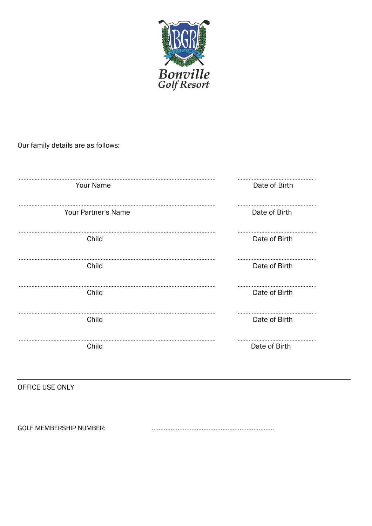

Our family details are as follows:

| Your Name           | Date of Birth |
|---------------------|---------------|
| Your Partner's Name | Date of Birth |
| Child               | Date of Birth |
| Child               | Date of Birth |
| Child               | Date of Birth |
| Child               | Date of Birth |
| Child               | Date of Birth |

OFFICE USE ONLY

**GOLF MEMBERSHIP NUMBER:**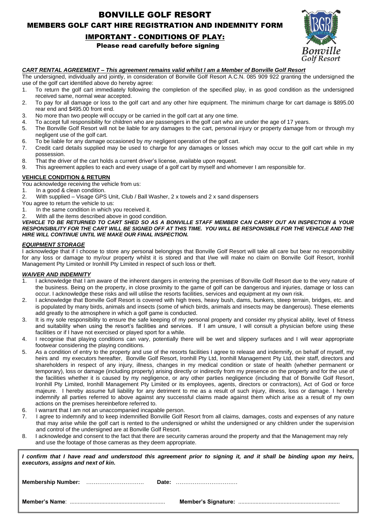### BONVILLE GOLF RESORT MEMBERS GOLF CART HIRE REGISTRATION AND INDEMNITY FORM

#### IMPORTANT - CONDITIONS OF PLAY:

Please read carefully before signing



#### *CART RENTAL AGREEMENT – This agreement remains valid whilst I am a Member of Bonville Golf Resort*

The undersigned, individually and jointly, in consideration of Bonville Golf Resort A.C.N. 085 909 922 granting the undersigned the use of the golf cart identified above do hereby agree:

- 1. To return the golf cart immediately following the completion of the specified play, in as good condition as the undersigned received same, normal wear accepted.
- 2. To pay for all damage or loss to the golf cart and any other hire equipment. The minimum charge for cart damage is \$895.00 rear end and \$495.00 front end.
- 3. No more than two people will occupy or be carried in the golf cart at any one time.
- 4. To accept full responsibility for children who are passengers in the golf cart who are under the age of 17 years.
- The Bonville Golf Resort will not be liable for any damages to the cart, personal injury or property damage from or through my negligent use of the golf cart.
- 6. To be liable for any damage occasioned by *my* negligent operation of the golf cart.
- 7. Credit card details supplied may be used to charge for any damages or losses which may occur to the golf cart while in my possession.
- 8. That the driver of the cart holds a current driver's license, available upon request.
- 9. This agreement applies to each and every usage of a golf cart by myself and whomever I am responsible for.

#### **VEHICLE CONDITION & RETURN**

- You acknowledge receiving the vehicle from us:
- 1. In a good & clean condition.
- 2. With supplied Visage GPS Unit, Club / Ball Washer, 2 x towels and 2 x sand dispensers
- You agree to return the vehicle to us:
- 1. In the same condition in which you received it.
- 2. With all the items described above in good condition.

*VEHICLE TO BE RETURNED TO CART SHED SO AS A BONVILLE STAFF MEMBER CAN CARRY OUT AN INSPECTION & YOUR RESPONSIBILITY FOR THE CART WILL BE SIGNED OFF AT THIS TIME. YOU WILL BE RESPONSIBLE FOR THE VEHICLE AND THE HIRE WILL CONTINUE UNTIL WE MAKE OUR FINAL INSPECTION.*

#### *EQUIPMENT STORAGE*

I acknowledge that if I choose to store any personal belongings that Bonville Golf Resort will take all care but bear no responsibility for any loss or damage to my/our property whilst it is stored and that I/we will make no claim on Bonville Golf Resort, Ironhill Management Pty Limited or Ironhill Pty Limited in respect of such loss or theft.

#### *WAIVER AND INDEMNITY*

- 1. I acknowledge that I am aware of the inherent dangers in entering the premises of Bonville Golf Resort due to the very nature of the business. Being on the property, in close proximity to the game of golf can be dangerous and injuries, damage or loss can occur. I acknowledge these risks and will utilise the resorts facilities, services and equipment at my own risk.
- 2. I acknowledge that Bonville Golf Resort is covered with high trees, heavy bush, dams, bunkers, steep terrain, bridges, etc. and is populated by many birds, animals and insects (some of which birds, animals and insects may be dangerous). These elements add greatly to the atmosphere in which a golf game is conducted.
- 3. It is my sole responsibility to ensure the safe keeping of my personal property and consider my physical ability, level of fitness and suitability when using the resort's facilities and services. If I am unsure, I will consult a physician before using these facilities or if I have not exercised or played sport for a while.
- 4. I recognise that playing conditions can vary, potentially there will be wet and slippery surfaces and I will wear appropriate footwear considering the playing conditions.
- 5. As a condition of entry to the property and use of the resorts facilities I agree to release and indemnify, on behalf of myself, my heirs and my executors hereafter, Bonville Golf Resort, Ironhill Pty Ltd, Ironhill Management Pty Ltd, their staff, directors and shareholders in respect of any injury, illness, changes in my medical condition or state of health (whether permanent or temporary), loss or damage (including property) arising directly or indirectly from my presence on the property and for the use of the facilities whether it is caused by my negligence, or any other parties negligence (including that of Bonville Golf Resort, Ironhill Pty Limited, Ironhill Management Pty Limited or its employees, agents, directors or contractors), Act of God or force majeure. I hereby assume full liability for any detriment to me as a result of such injury, illness, loss or damage. I hereby indemnify all parties referred to above against any successful claims made against them which arise as a result of my own actions on the premises hereinbefore referred to.
- 6. I warrant that I am not an unaccompanied incapable person.
- 7. I agree to indemnify and to keep indemnified Bonville Golf Resort from all claims, damages, costs and expenses of any nature that may arise while the golf cart is rented to the undersigned or whilst the undersigned or any children under the supervision and control of the undersigned are at Bonville Golf Resort.
- 8. I acknowledge and consent to the fact that there are security cameras around the property and that the Management may rely and use the footage of those cameras as they deem appropriate.

| I confirm that I have read and understood this agreement prior to signing it, and it shall be binding upon my heirs,<br>executors, assigns and next of kin. |  |
|-------------------------------------------------------------------------------------------------------------------------------------------------------------|--|
|                                                                                                                                                             |  |
|                                                                                                                                                             |  |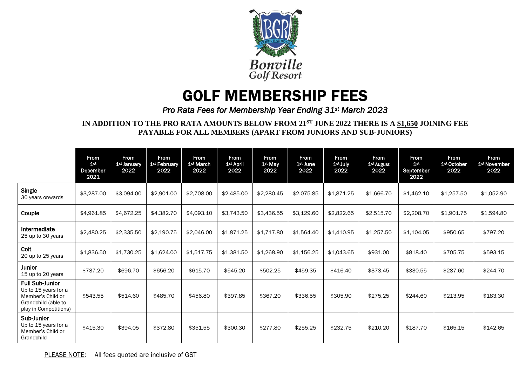

# GOLF MEMBERSHIP FEES

## *Pro Rata Fees for Membership Year Ending 31st March 2023*

**IN ADDITION TO THE PRO RATA AMOUNTS BELOW FROM 21ST JUNE 2022 THERE IS A \$1,650 JOINING FEE PAYABLE FOR ALL MEMBERS (APART FROM JUNIORS AND SUB-JUNIORS)**

|                                                                                                                     | <b>From</b><br>1 <sup>st</sup><br><b>December</b><br>2021 | <b>From</b><br>1 <sup>st</sup> January<br>2022 | <b>From</b><br>1 <sup>st</sup> February<br>2022 | <b>From</b><br>1 <sup>st</sup> March<br>2022 | From<br>1 <sup>st</sup> April<br>2022 | <b>From</b><br>1 <sup>st</sup> May<br>2022 | From<br>1 <sup>st</sup> June<br>2022 | <b>From</b><br>1st July<br>2022 | <b>From</b><br>1 <sup>st</sup> August<br>2022 | <b>From</b><br>1 <sup>st</sup><br>September<br>2022 | From<br>1 <sup>st</sup> October<br>2022 | <b>From</b><br>1 <sup>st</sup> November<br>2022 |
|---------------------------------------------------------------------------------------------------------------------|-----------------------------------------------------------|------------------------------------------------|-------------------------------------------------|----------------------------------------------|---------------------------------------|--------------------------------------------|--------------------------------------|---------------------------------|-----------------------------------------------|-----------------------------------------------------|-----------------------------------------|-------------------------------------------------|
| Single<br>30 years onwards                                                                                          | \$3,287.00                                                | \$3,094.00                                     | \$2,901.00                                      | \$2,708.00                                   | \$2,485.00                            | \$2,280.45                                 | \$2,075.85                           | \$1,871.25                      | \$1,666.70                                    | \$1,462.10                                          | \$1,257.50                              | \$1,052.90                                      |
| Couple                                                                                                              | \$4,961.85                                                | \$4,672.25                                     | \$4,382.70                                      | \$4,093.10                                   | \$3,743.50                            | \$3,436.55                                 | \$3,129.60                           | \$2,822.65                      | \$2,515.70                                    | \$2,208.70                                          | \$1,901.75                              | \$1,594.80                                      |
| Intermediate<br>25 up to 30 years                                                                                   | \$2,480.25                                                | \$2,335.50                                     | \$2,190.75                                      | \$2,046,00                                   | \$1,871,25                            | \$1,717.80                                 | \$1,564.40                           | \$1,410.95                      | \$1,257.50                                    | \$1,104.05                                          | \$950.65                                | \$797.20                                        |
| Colt<br>20 up to 25 years                                                                                           | \$1,836.50                                                | \$1,730.25                                     | \$1,624.00                                      | \$1,517.75                                   | \$1,381.50                            | \$1,268.90                                 | \$1,156.25                           | \$1,043.65                      | \$931.00                                      | \$818.40                                            | \$705.75                                | \$593.15                                        |
| <b>Junior</b><br>15 up to 20 years                                                                                  | \$737.20                                                  | \$696.70                                       | \$656.20                                        | \$615.70                                     | \$545.20                              | \$502.25                                   | \$459.35                             | \$416.40                        | \$373.45                                      | \$330.55                                            | \$287.60                                | \$244.70                                        |
| <b>Full Sub-Junior</b><br>Up to 15 years for a<br>Member's Child or<br>Grandchild (able to<br>play in Competitions) | \$543.55                                                  | \$514.60                                       | \$485.70                                        | \$456.80                                     | \$397.85                              | \$367.20                                   | \$336.55                             | \$305.90                        | \$275.25                                      | \$244.60                                            | \$213.95                                | \$183.30                                        |
| Sub-Junior<br>Up to 15 years for a<br>Member's Child or<br>Grandchild                                               | \$415.30                                                  | \$394.05                                       | \$372.80                                        | \$351.55                                     | \$300.30                              | \$277.80                                   | \$255.25                             | \$232.75                        | \$210.20                                      | \$187.70                                            | \$165.15                                | \$142.65                                        |